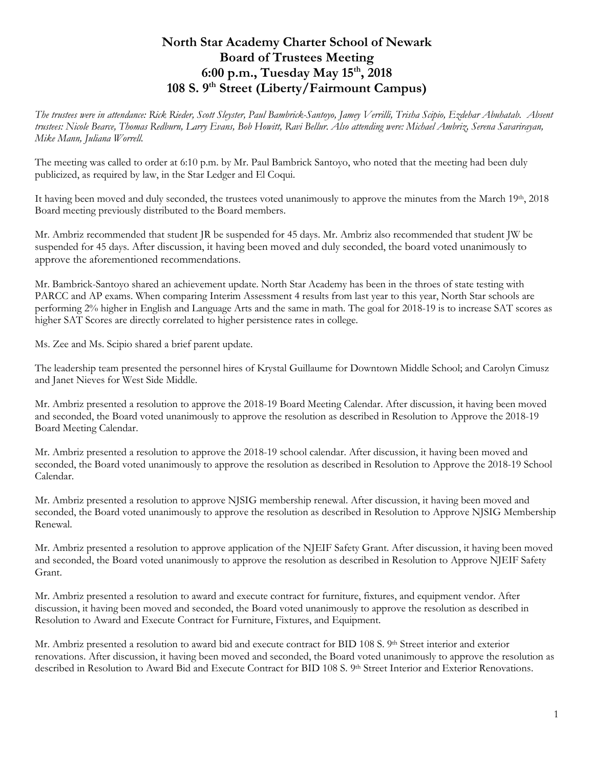## **North Star Academy Charter School of Newark Board of Trustees Meeting 6:00 p.m., Tuesday May 15 th, 2018 108 S. 9th Street (Liberty/Fairmount Campus)**

*The trustees were in attendance: Rick Rieder, Scott Sleyster, Paul Bambrick-Santoyo, Jamey Verrilli, Trisha Scipio, Ezdehar Abuhatab. Absent trustees: Nicole Bearce, Thomas Redburn, Larry Evans, Bob Howitt, Ravi Bellur. Also attending were: Michael Ambriz, Serena Savarirayan, Mike Mann, Juliana Worrell.* 

The meeting was called to order at 6:10 p.m. by Mr. Paul Bambrick Santoyo, who noted that the meeting had been duly publicized, as required by law, in the Star Ledger and El Coqui.

It having been moved and duly seconded, the trustees voted unanimously to approve the minutes from the March 19th, 2018 Board meeting previously distributed to the Board members.

Mr. Ambriz recommended that student JR be suspended for 45 days. Mr. Ambriz also recommended that student JW be suspended for 45 days. After discussion, it having been moved and duly seconded, the board voted unanimously to approve the aforementioned recommendations.

Mr. Bambrick-Santoyo shared an achievement update. North Star Academy has been in the throes of state testing with PARCC and AP exams. When comparing Interim Assessment 4 results from last year to this year, North Star schools are performing 2% higher in English and Language Arts and the same in math. The goal for 2018-19 is to increase SAT scores as higher SAT Scores are directly correlated to higher persistence rates in college.

Ms. Zee and Ms. Scipio shared a brief parent update.

The leadership team presented the personnel hires of Krystal Guillaume for Downtown Middle School; and Carolyn Cimusz and Janet Nieves for West Side Middle.

Mr. Ambriz presented a resolution to approve the 2018-19 Board Meeting Calendar. After discussion, it having been moved and seconded, the Board voted unanimously to approve the resolution as described in Resolution to Approve the 2018-19 Board Meeting Calendar.

Mr. Ambriz presented a resolution to approve the 2018-19 school calendar. After discussion, it having been moved and seconded, the Board voted unanimously to approve the resolution as described in Resolution to Approve the 2018-19 School Calendar.

Mr. Ambriz presented a resolution to approve NJSIG membership renewal. After discussion, it having been moved and seconded, the Board voted unanimously to approve the resolution as described in Resolution to Approve NJSIG Membership Renewal.

Mr. Ambriz presented a resolution to approve application of the NJEIF Safety Grant. After discussion, it having been moved and seconded, the Board voted unanimously to approve the resolution as described in Resolution to Approve NJEIF Safety Grant.

Mr. Ambriz presented a resolution to award and execute contract for furniture, fixtures, and equipment vendor. After discussion, it having been moved and seconded, the Board voted unanimously to approve the resolution as described in Resolution to Award and Execute Contract for Furniture, Fixtures, and Equipment.

Mr. Ambriz presented a resolution to award bid and execute contract for BID 108 S. 9th Street interior and exterior renovations. After discussion, it having been moved and seconded, the Board voted unanimously to approve the resolution as described in Resolution to Award Bid and Execute Contract for BID 108 S. 9th Street Interior and Exterior Renovations.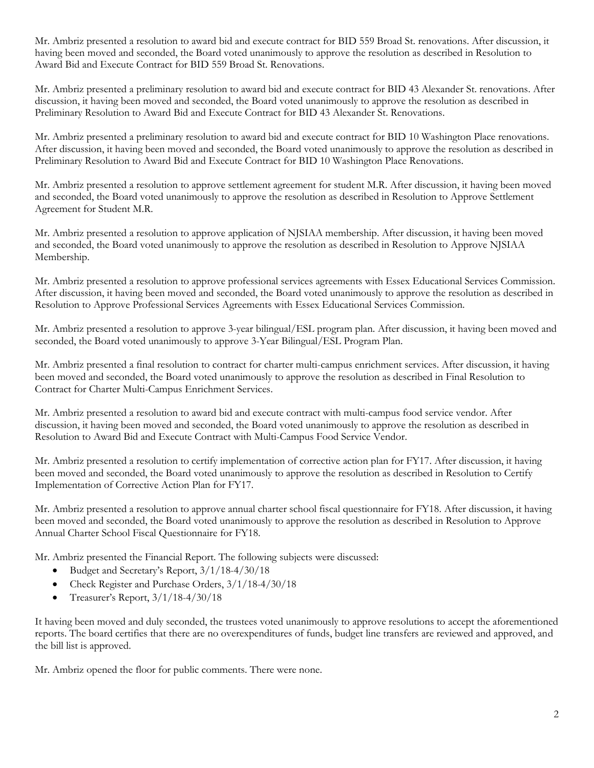Mr. Ambriz presented a resolution to award bid and execute contract for BID 559 Broad St. renovations. After discussion, it having been moved and seconded, the Board voted unanimously to approve the resolution as described in Resolution to Award Bid and Execute Contract for BID 559 Broad St. Renovations.

Mr. Ambriz presented a preliminary resolution to award bid and execute contract for BID 43 Alexander St. renovations. After discussion, it having been moved and seconded, the Board voted unanimously to approve the resolution as described in Preliminary Resolution to Award Bid and Execute Contract for BID 43 Alexander St. Renovations.

Mr. Ambriz presented a preliminary resolution to award bid and execute contract for BID 10 Washington Place renovations. After discussion, it having been moved and seconded, the Board voted unanimously to approve the resolution as described in Preliminary Resolution to Award Bid and Execute Contract for BID 10 Washington Place Renovations.

Mr. Ambriz presented a resolution to approve settlement agreement for student M.R. After discussion, it having been moved and seconded, the Board voted unanimously to approve the resolution as described in Resolution to Approve Settlement Agreement for Student M.R.

Mr. Ambriz presented a resolution to approve application of NJSIAA membership. After discussion, it having been moved and seconded, the Board voted unanimously to approve the resolution as described in Resolution to Approve NJSIAA Membership.

Mr. Ambriz presented a resolution to approve professional services agreements with Essex Educational Services Commission. After discussion, it having been moved and seconded, the Board voted unanimously to approve the resolution as described in Resolution to Approve Professional Services Agreements with Essex Educational Services Commission.

Mr. Ambriz presented a resolution to approve 3-year bilingual/ESL program plan. After discussion, it having been moved and seconded, the Board voted unanimously to approve 3-Year Bilingual/ESL Program Plan.

Mr. Ambriz presented a final resolution to contract for charter multi-campus enrichment services. After discussion, it having been moved and seconded, the Board voted unanimously to approve the resolution as described in Final Resolution to Contract for Charter Multi-Campus Enrichment Services.

Mr. Ambriz presented a resolution to award bid and execute contract with multi-campus food service vendor. After discussion, it having been moved and seconded, the Board voted unanimously to approve the resolution as described in Resolution to Award Bid and Execute Contract with Multi-Campus Food Service Vendor.

Mr. Ambriz presented a resolution to certify implementation of corrective action plan for FY17. After discussion, it having been moved and seconded, the Board voted unanimously to approve the resolution as described in Resolution to Certify Implementation of Corrective Action Plan for FY17.

Mr. Ambriz presented a resolution to approve annual charter school fiscal questionnaire for FY18. After discussion, it having been moved and seconded, the Board voted unanimously to approve the resolution as described in Resolution to Approve Annual Charter School Fiscal Questionnaire for FY18.

Mr. Ambriz presented the Financial Report. The following subjects were discussed:

- Budget and Secretary's Report, 3/1/18-4/30/18
- Check Register and Purchase Orders, 3/1/18-4/30/18
- Treasurer's Report, 3/1/18-4/30/18

It having been moved and duly seconded, the trustees voted unanimously to approve resolutions to accept the aforementioned reports. The board certifies that there are no overexpenditures of funds, budget line transfers are reviewed and approved, and the bill list is approved.

Mr. Ambriz opened the floor for public comments. There were none.